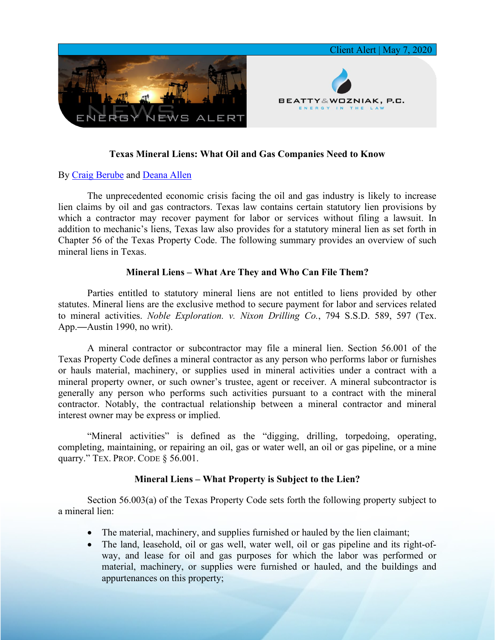

# **Texas Mineral Liens: What Oil and Gas Companies Need to Know**

## By [Craig Berube](https://www.bwenergylaw.com/craig-berube) and [Deana Allen](https://www.bwenergylaw.com/deana-allen)

The unprecedented economic crisis facing the oil and gas industry is likely to increase lien claims by oil and gas contractors. Texas law contains certain statutory lien provisions by which a contractor may recover payment for labor or services without filing a lawsuit. In addition to mechanic's liens, Texas law also provides for a statutory mineral lien as set forth in Chapter 56 of the Texas Property Code. The following summary provides an overview of such mineral liens in Texas.

## **Mineral Liens – What Are They and Who Can File Them?**

Parties entitled to statutory mineral liens are not entitled to liens provided by other statutes. Mineral liens are the exclusive method to secure payment for labor and services related to mineral activities. *Noble Exploration. v. Nixon Drilling Co.*, 794 S.S.D. 589, 597 (Tex. App.—Austin 1990, no writ).

A mineral contractor or subcontractor may file a mineral lien. Section 56.001 of the Texas Property Code defines a mineral contractor as any person who performs labor or furnishes or hauls material, machinery, or supplies used in mineral activities under a contract with a mineral property owner, or such owner's trustee, agent or receiver. A mineral subcontractor is generally any person who performs such activities pursuant to a contract with the mineral contractor. Notably, the contractual relationship between a mineral contractor and mineral interest owner may be express or implied.

"Mineral activities" is defined as the "digging, drilling, torpedoing, operating, completing, maintaining, or repairing an oil, gas or water well, an oil or gas pipeline, or a mine quarry." TEX. PROP. CODE § 56.001.

## **Mineral Liens – What Property is Subject to the Lien?**

Section 56.003(a) of the Texas Property Code sets forth the following property subject to a mineral lien:

- The material, machinery, and supplies furnished or hauled by the lien claimant;
- The land, leasehold, oil or gas well, water well, oil or gas pipeline and its right-ofway, and lease for oil and gas purposes for which the labor was performed or material, machinery, or supplies were furnished or hauled, and the buildings and appurtenances on this property;